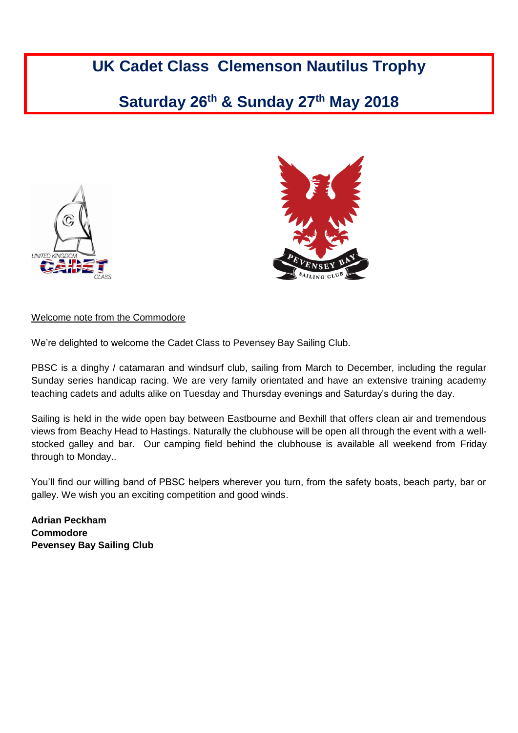# **UK Cadet Class Clemenson Nautilus Trophy**

## **Saturday 26th & Sunday 27th May 2018**





## Welcome note from the Commodore

We're delighted to welcome the Cadet Class to Pevensey Bay Sailing Club.

PBSC is a dinghy / catamaran and windsurf club, sailing from March to December, including the regular Sunday series handicap racing. We are very family orientated and have an extensive training academy teaching cadets and adults alike on Tuesday and Thursday evenings and Saturday's during the day.

Sailing is held in the wide open bay between Eastbourne and Bexhill that offers clean air and tremendous views from Beachy Head to Hastings. Naturally the clubhouse will be open all through the event with a wellstocked galley and bar. Our camping field behind the clubhouse is available all weekend from Friday through to Monday..

You'll find our willing band of PBSC helpers wherever you turn, from the safety boats, beach party, bar or galley. We wish you an exciting competition and good winds.

**Adrian Peckham Commodore Pevensey Bay Sailing Club** Cc<br>Pe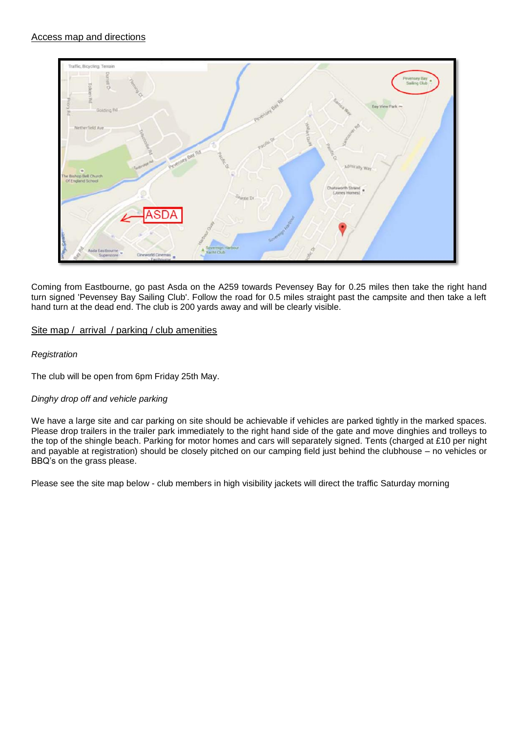

Coming from Eastbourne, go past Asda on the A259 towards Pevensey Bay for 0.25 miles then take the right hand turn signed 'Pevensey Bay Sailing Club'. Follow the road for 0.5 miles straight past the campsite and then take a left hand turn at the dead end. The club is 200 yards away and will be clearly visible.

## Site map / arrival / parking / club amenities

## *Registration*

The club will be open from 6pm Friday 25th May.

## *Dinghy drop off and vehicle parking*

We have a large site and car parking on site should be achievable if vehicles are parked tightly in the marked spaces. Please drop trailers in the trailer park immediately to the right hand side of the gate and move dinghies and trolleys to the top of the shingle beach. Parking for motor homes and cars will separately signed. Tents (charged at £10 per night and payable at registration) should be closely pitched on our camping field just behind the clubhouse – no vehicles or BBQ's on the grass please.

Please see the site map below - club members in high visibility jackets will direct the traffic Saturday morning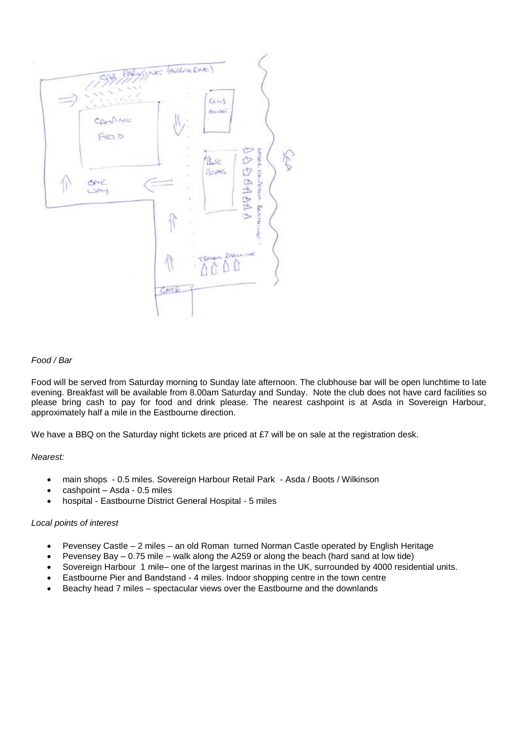

#### *Food / Bar*

Food will be served from Saturday morning to Sunday late afternoon. The clubhouse bar will be open lunchtime to late evening. Breakfast will be available from 8.00am Saturday and Sunday. Note the club does not have card facilities so please bring cash to pay for food and drink please. The nearest cashpoint is at Asda in Sovereign Harbour, approximately half a mile in the Eastbourne direction.

We have a BBQ on the Saturday night tickets are priced at  $£7$  will be on sale at the registration desk.

#### *Nearest:*

- main shops 0.5 miles. Sovereign Harbour Retail Park Asda / Boots / Wilkinson
- cashpoint Asda 0.5 miles
- hospital Eastbourne District General Hospital 5 miles

#### *Local points of interest*

- Pevensey Castle 2 miles an old Roman turned Norman Castle operated by English Heritage
- Pevensey Bay 0.75 mile walk along the A259 or along the beach (hard sand at low tide)
- Sovereign Harbour 1 mile– one of the largest marinas in the UK, surrounded by 4000 residential units.
- Eastbourne Pier and Bandstand 4 miles. Indoor shopping centre in the town centre
- Beachy head 7 miles spectacular views over the Eastbourne and the downlands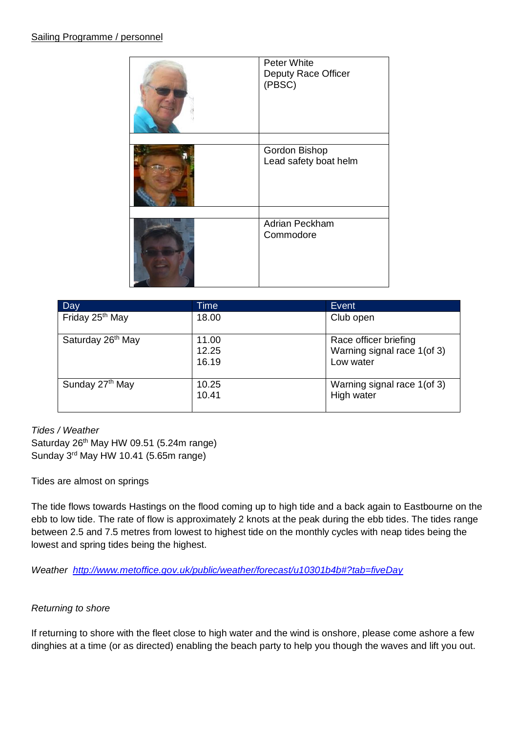| Peter White<br>Deputy Race Officer<br>(PBSC) |
|----------------------------------------------|
| Gordon Bishop<br>Lead safety boat helm       |
| Adrian Peckham<br>Commodore                  |

| Day                           | Time                    | <b>Event</b>                                                      |
|-------------------------------|-------------------------|-------------------------------------------------------------------|
| Friday 25 <sup>th</sup> May   | 18.00                   | Club open                                                         |
| Saturday 26 <sup>th</sup> May | 11.00<br>12.25<br>16.19 | Race officer briefing<br>Warning signal race 1(of 3)<br>Low water |
| Sunday 27 <sup>th</sup> May   | 10.25<br>10.41          | Warning signal race 1(of 3)<br>High water                         |

## *Tides / Weather*

Saturday 26<sup>th</sup> May HW 09.51 (5.24m range) Sunday 3 rd May HW 10.41 (5.65m range)

Tides are almost on springs

The tide flows towards Hastings on the flood coming up to high tide and a back again to Eastbourne on the ebb to low tide. The rate of flow is approximately 2 knots at the peak during the ebb tides. The tides range between 2.5 and 7.5 metres from lowest to highest tide on the monthly cycles with neap tides being the lowest and spring tides being the highest.

*Weather <http://www.metoffice.gov.uk/public/weather/forecast/u10301b4b#?tab=fiveDay>*

## *Returning to shore*

If returning to shore with the fleet close to high water and the wind is onshore, please come ashore a few dinghies at a time (or as directed) enabling the beach party to help you though the waves and lift you out.